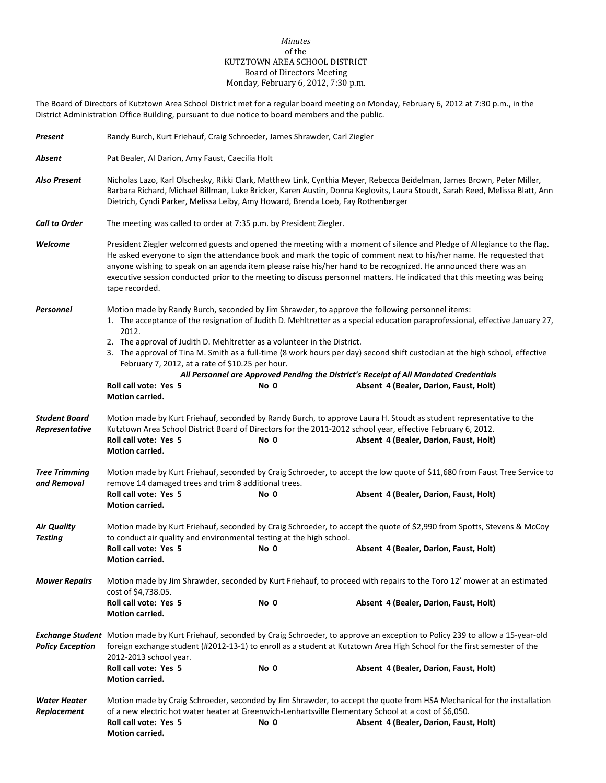## *Minutes* of the KUTZTOWN AREA SCHOOL DISTRICT Board of Directors Meeting Monday, February 6, 2012, 7:30 p.m.

The Board of Directors of Kutztown Area School District met for a regular board meeting on Monday, February 6, 2012 at 7:30 p.m., in the District Administration Office Building, pursuant to due notice to board members and the public.

| Present                                | Randy Burch, Kurt Friehauf, Craig Schroeder, James Shrawder, Carl Ziegler                                                                                                                                                                                                                                                                                                                                                                                                                                      |      |                                                                                                                                                                  |  |  |
|----------------------------------------|----------------------------------------------------------------------------------------------------------------------------------------------------------------------------------------------------------------------------------------------------------------------------------------------------------------------------------------------------------------------------------------------------------------------------------------------------------------------------------------------------------------|------|------------------------------------------------------------------------------------------------------------------------------------------------------------------|--|--|
| Absent                                 | Pat Bealer, Al Darion, Amy Faust, Caecilia Holt                                                                                                                                                                                                                                                                                                                                                                                                                                                                |      |                                                                                                                                                                  |  |  |
| <b>Also Present</b>                    | Nicholas Lazo, Karl Olschesky, Rikki Clark, Matthew Link, Cynthia Meyer, Rebecca Beidelman, James Brown, Peter Miller,<br>Barbara Richard, Michael Billman, Luke Bricker, Karen Austin, Donna Keglovits, Laura Stoudt, Sarah Reed, Melissa Blatt, Ann<br>Dietrich, Cyndi Parker, Melissa Leiby, Amy Howard, Brenda Loeb, Fay Rothenberger                                                                                                                                                                      |      |                                                                                                                                                                  |  |  |
| <b>Call to Order</b>                   | The meeting was called to order at 7:35 p.m. by President Ziegler.                                                                                                                                                                                                                                                                                                                                                                                                                                             |      |                                                                                                                                                                  |  |  |
| Welcome                                | President Ziegler welcomed guests and opened the meeting with a moment of silence and Pledge of Allegiance to the flag.<br>He asked everyone to sign the attendance book and mark the topic of comment next to his/her name. He requested that<br>anyone wishing to speak on an agenda item please raise his/her hand to be recognized. He announced there was an<br>executive session conducted prior to the meeting to discuss personnel matters. He indicated that this meeting was being<br>tape recorded. |      |                                                                                                                                                                  |  |  |
| Personnel                              | Motion made by Randy Burch, seconded by Jim Shrawder, to approve the following personnel items:<br>1. The acceptance of the resignation of Judith D. Mehltretter as a special education paraprofessional, effective January 27,<br>2012.                                                                                                                                                                                                                                                                       |      |                                                                                                                                                                  |  |  |
|                                        | 2. The approval of Judith D. Mehltretter as a volunteer in the District.<br>3. The approval of Tina M. Smith as a full-time (8 work hours per day) second shift custodian at the high school, effective<br>February 7, 2012, at a rate of \$10.25 per hour.<br>All Personnel are Approved Pending the District's Receipt of All Mandated Credentials<br>Roll call vote: Yes 5<br>Absent 4 (Bealer, Darion, Faust, Holt)<br>No 0<br><b>Motion carried.</b>                                                      |      |                                                                                                                                                                  |  |  |
| <b>Student Board</b><br>Representative | Motion made by Kurt Friehauf, seconded by Randy Burch, to approve Laura H. Stoudt as student representative to the<br>Kutztown Area School District Board of Directors for the 2011-2012 school year, effective February 6, 2012.<br>Roll call vote: Yes 5<br>Absent 4 (Bealer, Darion, Faust, Holt)<br>No 0<br>Motion carried.                                                                                                                                                                                |      |                                                                                                                                                                  |  |  |
| <b>Tree Trimming</b><br>and Removal    | Motion made by Kurt Friehauf, seconded by Craig Schroeder, to accept the low quote of \$11,680 from Faust Tree Service to<br>remove 14 damaged trees and trim 8 additional trees.<br>Roll call vote: Yes 5<br>Absent 4 (Bealer, Darion, Faust, Holt)<br>No 0<br>Motion carried.                                                                                                                                                                                                                                |      |                                                                                                                                                                  |  |  |
| <b>Air Quality</b><br><b>Testing</b>   | Motion made by Kurt Friehauf, seconded by Craig Schroeder, to accept the quote of \$2,990 from Spotts, Stevens & McCoy<br>to conduct air quality and environmental testing at the high school.<br>Roll call vote: Yes 5<br>No 0<br>Absent 4 (Bealer, Darion, Faust, Holt)                                                                                                                                                                                                                                      |      |                                                                                                                                                                  |  |  |
| <b>Mower Repairs</b>                   | Motion carried.<br>Motion made by Jim Shrawder, seconded by Kurt Friehauf, to proceed with repairs to the Toro 12' mower at an estimated<br>cost of \$4,738.05.<br>Roll call vote: Yes 5<br>No 0<br>Absent 4 (Bealer, Darion, Faust, Holt)<br><b>Motion carried.</b>                                                                                                                                                                                                                                           |      |                                                                                                                                                                  |  |  |
| <b>Policy Exception</b>                | Exchange Student Motion made by Kurt Friehauf, seconded by Craig Schroeder, to approve an exception to Policy 239 to allow a 15-year-old<br>foreign exchange student (#2012-13-1) to enroll as a student at Kutztown Area High School for the first semester of the<br>2012-2013 school year.                                                                                                                                                                                                                  |      |                                                                                                                                                                  |  |  |
|                                        | Roll call vote: Yes 5<br>Motion carried.                                                                                                                                                                                                                                                                                                                                                                                                                                                                       | No 0 | Absent 4 (Bealer, Darion, Faust, Holt)                                                                                                                           |  |  |
| Water Heater<br>Replacement            | of a new electric hot water heater at Greenwich-Lenhartsville Elementary School at a cost of \$6,050.<br>Roll call vote: Yes 5<br>Motion carried.                                                                                                                                                                                                                                                                                                                                                              | No 0 | Motion made by Craig Schroeder, seconded by Jim Shrawder, to accept the quote from HSA Mechanical for the installation<br>Absent 4 (Bealer, Darion, Faust, Holt) |  |  |